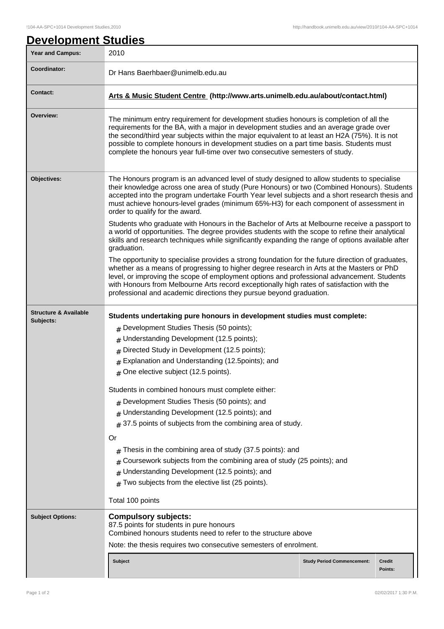| <b>Year and Campus:</b>          | 2010                                                                                                                                                                                                                                                                                                                                                                                                                                                                                                                      |  |  |  |
|----------------------------------|---------------------------------------------------------------------------------------------------------------------------------------------------------------------------------------------------------------------------------------------------------------------------------------------------------------------------------------------------------------------------------------------------------------------------------------------------------------------------------------------------------------------------|--|--|--|
| Coordinator:                     | Dr Hans Baerhbaer@unimelb.edu.au                                                                                                                                                                                                                                                                                                                                                                                                                                                                                          |  |  |  |
| <b>Contact:</b>                  | Arts & Music Student Centre (http://www.arts.unimelb.edu.au/about/contact.html)                                                                                                                                                                                                                                                                                                                                                                                                                                           |  |  |  |
| Overview:                        | The minimum entry requirement for development studies honours is completion of all the<br>requirements for the BA, with a major in development studies and an average grade over<br>the second/third year subjects within the major equivalent to at least an H2A (75%). It is not<br>possible to complete honours in development studies on a part time basis. Students must<br>complete the honours year full-time over two consecutive semesters of study.                                                             |  |  |  |
| Objectives:                      | The Honours program is an advanced level of study designed to allow students to specialise<br>their knowledge across one area of study (Pure Honours) or two (Combined Honours). Students<br>accepted into the program undertake Fourth Year level subjects and a short research thesis and<br>must achieve honours-level grades (minimum 65%-H3) for each component of assessment in<br>order to qualify for the award.<br>Students who graduate with Honours in the Bachelor of Arts at Melbourne receive a passport to |  |  |  |
|                                  | a world of opportunities. The degree provides students with the scope to refine their analytical<br>skills and research techniques while significantly expanding the range of options available after<br>graduation.                                                                                                                                                                                                                                                                                                      |  |  |  |
|                                  | The opportunity to specialise provides a strong foundation for the future direction of graduates,<br>whether as a means of progressing to higher degree research in Arts at the Masters or PhD<br>level, or improving the scope of employment options and professional advancement. Students<br>with Honours from Melbourne Arts record exceptionally high rates of satisfaction with the<br>professional and academic directions they pursue beyond graduation.                                                          |  |  |  |
| <b>Structure &amp; Available</b> | Students undertaking pure honours in development studies must complete:                                                                                                                                                                                                                                                                                                                                                                                                                                                   |  |  |  |
| Subjects:                        | # Development Studies Thesis (50 points);                                                                                                                                                                                                                                                                                                                                                                                                                                                                                 |  |  |  |
|                                  | # Understanding Development (12.5 points);                                                                                                                                                                                                                                                                                                                                                                                                                                                                                |  |  |  |
|                                  | # Directed Study in Development (12.5 points);                                                                                                                                                                                                                                                                                                                                                                                                                                                                            |  |  |  |
|                                  | # Explanation and Understanding (12.5points); and                                                                                                                                                                                                                                                                                                                                                                                                                                                                         |  |  |  |
|                                  | # One elective subject (12.5 points).                                                                                                                                                                                                                                                                                                                                                                                                                                                                                     |  |  |  |
|                                  |                                                                                                                                                                                                                                                                                                                                                                                                                                                                                                                           |  |  |  |
|                                  | Students in combined honours must complete either:                                                                                                                                                                                                                                                                                                                                                                                                                                                                        |  |  |  |
|                                  | # Development Studies Thesis (50 points); and                                                                                                                                                                                                                                                                                                                                                                                                                                                                             |  |  |  |
|                                  | Understanding Development (12.5 points); and                                                                                                                                                                                                                                                                                                                                                                                                                                                                              |  |  |  |
|                                  | 37.5 points of subjects from the combining area of study.<br>#                                                                                                                                                                                                                                                                                                                                                                                                                                                            |  |  |  |
|                                  | Or                                                                                                                                                                                                                                                                                                                                                                                                                                                                                                                        |  |  |  |
|                                  | Thesis in the combining area of study (37.5 points): and<br>#                                                                                                                                                                                                                                                                                                                                                                                                                                                             |  |  |  |
|                                  | Coursework subjects from the combining area of study (25 points); and<br>#                                                                                                                                                                                                                                                                                                                                                                                                                                                |  |  |  |
|                                  | Understanding Development (12.5 points); and                                                                                                                                                                                                                                                                                                                                                                                                                                                                              |  |  |  |
|                                  | Two subjects from the elective list (25 points).<br>$\pm$                                                                                                                                                                                                                                                                                                                                                                                                                                                                 |  |  |  |
|                                  | Total 100 points                                                                                                                                                                                                                                                                                                                                                                                                                                                                                                          |  |  |  |
| <b>Subject Options:</b>          | <b>Compulsory subjects:</b><br>87.5 points for students in pure honours<br>Combined honours students need to refer to the structure above                                                                                                                                                                                                                                                                                                                                                                                 |  |  |  |
|                                  |                                                                                                                                                                                                                                                                                                                                                                                                                                                                                                                           |  |  |  |
|                                  | Note: the thesis requires two consecutive semesters of enrolment.                                                                                                                                                                                                                                                                                                                                                                                                                                                         |  |  |  |